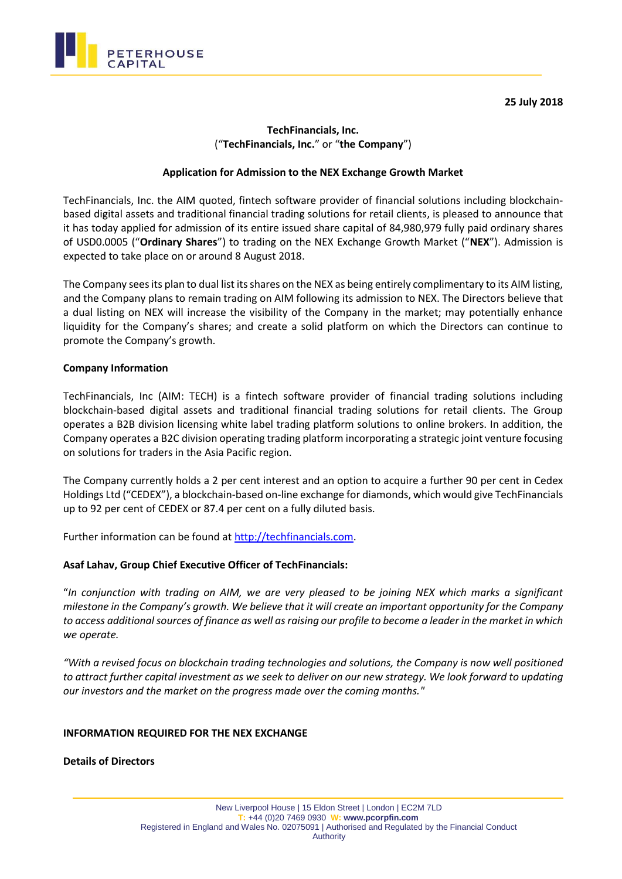**25 July 2018**



# **TechFinancials, Inc.**  ("**TechFinancials, Inc.**" or "**the Company**")

### **Application for Admission to the NEX Exchange Growth Market**

TechFinancials, Inc. the AIM quoted, fintech software provider of financial solutions including blockchainbased digital assets and traditional financial trading solutions for retail clients, is pleased to announce that it has today applied for admission of its entire issued share capital of 84,980,979 fully paid ordinary shares of USD0.0005 ("**Ordinary Shares**") to trading on the NEX Exchange Growth Market ("**NEX**"). Admission is expected to take place on or around 8 August 2018.

The Company sees its plan to dual list its shares on the NEX as being entirely complimentary to its AIM listing, and the Company plans to remain trading on AIM following its admission to NEX. The Directors believe that a dual listing on NEX will increase the visibility of the Company in the market; may potentially enhance liquidity for the Company's shares; and create a solid platform on which the Directors can continue to promote the Company's growth.

#### **Company Information**

TechFinancials, Inc (AIM: TECH) is a fintech software provider of financial trading solutions including blockchain-based digital assets and traditional financial trading solutions for retail clients. The Group operates a B2B division licensing white label trading platform solutions to online brokers. In addition, the Company operates a B2C division operating trading platform incorporating a strategic joint venture focusing on solutions for traders in the Asia Pacific region.

The Company currently holds a 2 per cent interest and an option to acquire a further 90 per cent in Cedex Holdings Ltd ("CEDEX"), a blockchain-based on-line exchange for diamonds, which would give TechFinancials up to 92 per cent of CEDEX or 87.4 per cent on a fully diluted basis.

Further information can be found at [http://techfinancials.com.](http://techfinancials.com/)

#### **Asaf Lahav, Group Chief Executive Officer of TechFinancials:**

"*In conjunction with trading on AIM, we are very pleased to be joining NEX which marks a significant milestone in the Company's growth. We believe that it will create an important opportunity for the Company to access additional sources of finance as well as raising our profile to become a leader in the market in which we operate.*

*"With a revised focus on blockchain trading technologies and solutions, the Company is now well positioned to attract further capital investment as we seek to deliver on our new strategy. We look forward to updating our investors and the market on the progress made over the coming months."*

#### **INFORMATION REQUIRED FOR THE NEX EXCHANGE**

**Details of Directors**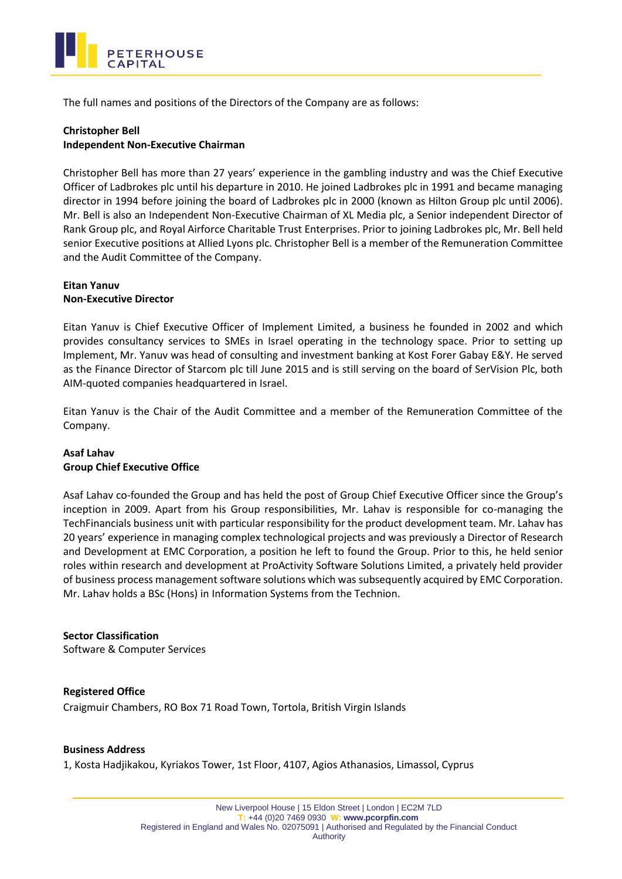

The full names and positions of the Directors of the Company are as follows:

## **Christopher Bell Independent Non-Executive Chairman**

Christopher Bell has more than 27 years' experience in the gambling industry and was the Chief Executive Officer of Ladbrokes plc until his departure in 2010. He joined Ladbrokes plc in 1991 and became managing director in 1994 before joining the board of Ladbrokes plc in 2000 (known as Hilton Group plc until 2006). Mr. Bell is also an Independent Non-Executive Chairman of XL Media plc, a Senior independent Director of Rank Group plc, and Royal Airforce Charitable Trust Enterprises. Prior to joining Ladbrokes plc, Mr. Bell held senior Executive positions at Allied Lyons plc. Christopher Bell is a member of the Remuneration Committee and the Audit Committee of the Company.

### **Eitan Yanuv Non-Executive Director**

Eitan Yanuv is Chief Executive Officer of Implement Limited, a business he founded in 2002 and which provides consultancy services to SMEs in Israel operating in the technology space. Prior to setting up Implement, Mr. Yanuv was head of consulting and investment banking at Kost Forer Gabay E&Y. He served as the Finance Director of Starcom plc till June 2015 and is still serving on the board of SerVision Plc, both AIM-quoted companies headquartered in Israel.

Eitan Yanuv is the Chair of the Audit Committee and a member of the Remuneration Committee of the Company.

### **Asaf Lahav Group Chief Executive Office**

Asaf Lahav co-founded the Group and has held the post of Group Chief Executive Officer since the Group's inception in 2009. Apart from his Group responsibilities, Mr. Lahav is responsible for co-managing the TechFinancials business unit with particular responsibility for the product development team. Mr. Lahav has 20 years' experience in managing complex technological projects and was previously a Director of Research and Development at EMC Corporation, a position he left to found the Group. Prior to this, he held senior roles within research and development at ProActivity Software Solutions Limited, a privately held provider of business process management software solutions which was subsequently acquired by EMC Corporation. Mr. Lahav holds a BSc (Hons) in Information Systems from the Technion.

#### **Sector Classification**

Software & Computer Services

## **Registered Office**

Craigmuir Chambers, RO Box 71 Road Town, Tortola, British Virgin Islands

#### **Business Address**

1, Kosta Hadjikakou, Kyriakos Tower, 1st Floor, 4107, Agios Athanasios, Limassol, Cyprus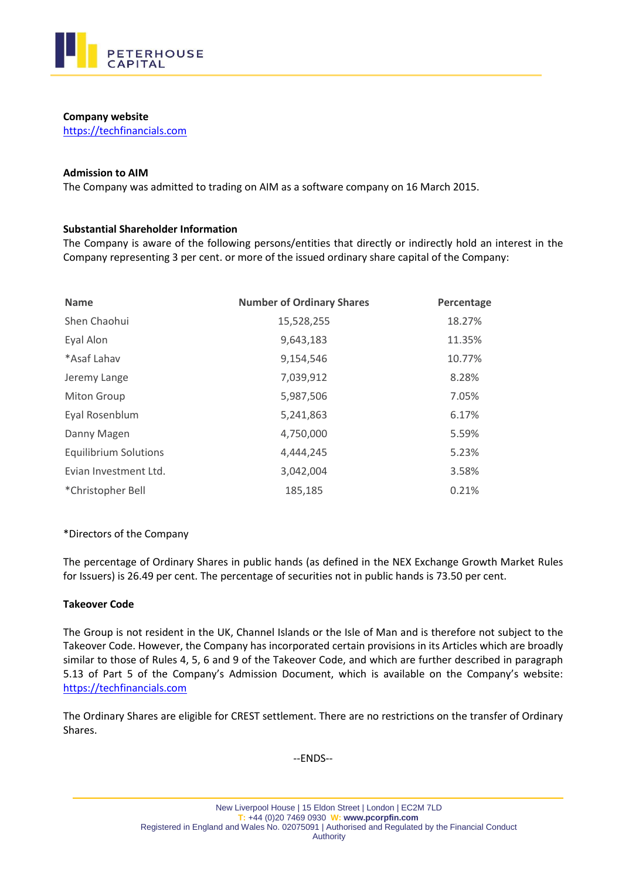

### **Company website**

[https://techfinancials.com](https://techfinancials.com/)

### **Admission to AIM**

The Company was admitted to trading on AIM as a software company on 16 March 2015.

## **Substantial Shareholder Information**

The Company is aware of the following persons/entities that directly or indirectly hold an interest in the Company representing 3 per cent. or more of the issued ordinary share capital of the Company:

| <b>Name</b>                  | <b>Number of Ordinary Shares</b> | Percentage |
|------------------------------|----------------------------------|------------|
| Shen Chaohui                 | 15,528,255                       | 18.27%     |
| Eyal Alon                    | 9,643,183                        | 11.35%     |
| *Asaf Lahav                  | 9,154,546                        | 10.77%     |
| Jeremy Lange                 | 7,039,912                        | 8.28%      |
| <b>Miton Group</b>           | 5,987,506                        | 7.05%      |
| Eyal Rosenblum               | 5,241,863                        | 6.17%      |
| Danny Magen                  | 4,750,000                        | 5.59%      |
| <b>Equilibrium Solutions</b> | 4,444,245                        | 5.23%      |
| Evian Investment Ltd.        | 3,042,004                        | 3.58%      |
| *Christopher Bell            | 185,185                          | 0.21%      |

## \*Directors of the Company

The percentage of Ordinary Shares in public hands (as defined in the NEX Exchange Growth Market Rules for Issuers) is 26.49 per cent. The percentage of securities not in public hands is 73.50 per cent.

## **Takeover Code**

The Group is not resident in the UK, Channel Islands or the Isle of Man and is therefore not subject to the Takeover Code. However, the Company has incorporated certain provisions in its Articles which are broadly similar to those of Rules 4, 5, 6 and 9 of the Takeover Code, and which are further described in paragraph 5.13 of Part 5 of the Company's Admission Document, which is available on the Company's website: [https://techfinancials.com](https://techfinancials.com/)

The Ordinary Shares are eligible for CREST settlement. There are no restrictions on the transfer of Ordinary Shares.

--ENDS--